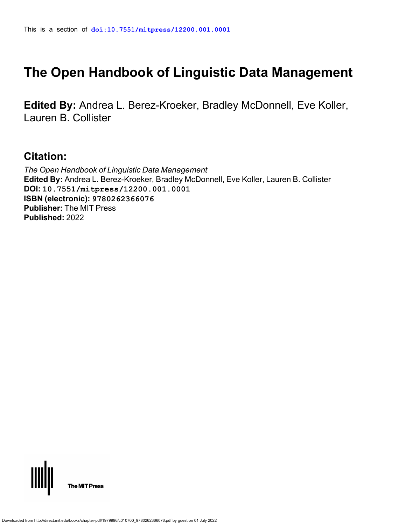# **The Open Handbook of Linguistic Data Management**

**Edited By:** Andrea L. Berez-Kroeker, Bradley McDonnell, Eve Koller, Lauren B. Collister

# **Citation:**

*The Open Handbook of Linguistic Data Management* **Edited By:** Andrea L. Berez-Kroeker, Bradley McDonnell, Eve Koller, Lauren B. Collister **DOI: 10.7551/mitpress/12200.001.0001 ISBN (electronic): 9780262366076 Publisher:** The MIT Press **Published:** 2022



**The MIT Press**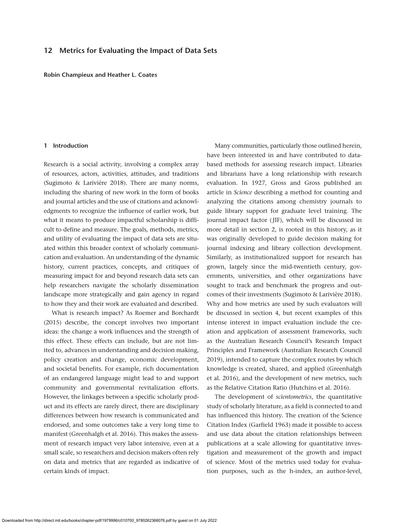# **12 Metrics for Evaluating the Impact of Data Sets**

**Robin Champieux and Heather L. Coates**

# **1 Introduction**

Research is a social activity, involving a complex array of resources, actors, activities, attitudes, and traditions (Sugimoto & Larivière 2018). There are many norms, including the sharing of new work in the form of books and journal articles and the use of citations and acknowledgments to recognize the influence of earlier work, but what it means to produce impactful scholarship is difficult to define and measure. The goals, methods, metrics, and utility of evaluating the impact of data sets are situated within this broader context of scholarly communication and evaluation. An understanding of the dynamic history, current practices, concepts, and critiques of measuring impact for and beyond research data sets can help researchers navigate the scholarly dissemination landscape more strategically and gain agency in regard to how they and their work are evaluated and described.

What is research impact? As Roemer and Borchardt (2015) describe, the concept involves two important ideas: the change a work influences and the strength of this effect. These effects can include, but are not limited to, advances in understanding and decision making, policy creation and change, economic development, and societal benefits. For example, rich documentation of an endangered language might lead to and support community and governmental revitalization efforts. However, the linkages between a specific scholarly product and its effects are rarely direct, there are disciplinary differences between how research is communicated and endorsed, and some outcomes take a very long time to manifest (Greenhalgh et al. 2016). This makes the assessment of research impact very labor intensive, even at a small scale, so researchers and decision makers often rely on data and metrics that are regarded as indicative of certain kinds of impact.

Many communities, particularly those outlined herein, have been interested in and have contributed to databased methods for assessing research impact. Libraries and librarians have a long relationship with research evaluation. In 1927, Gross and Gross published an article in *Science* describing a method for counting and analyzing the citations among chemistry journals to guide library support for graduate level training. The journal impact factor ( JIF), which will be discussed in more detail in section 2, is rooted in this history, as it was originally developed to guide decision making for journal indexing and library collection development. Similarly, as institutionalized support for research has grown, largely since the mid-twentieth century, governments, universities, and other organizations have sought to track and benchmark the progress and outcomes of their investments (Sugimoto & Larivière 2018). Why and how metrics are used by such evaluators will be discussed in section 4, but recent examples of this intense interest in impact evaluation include the creation and application of assessment frameworks, such as the Australian Research Council's Research Impact Principles and Framework (Australian Research Council 2019), intended to capture the complex routes by which knowledge is created, shared, and applied (Greenhalgh et al. 2016), and the development of new metrics, such as the Relative Citation Ratio (Hutchins et al. 2016).

The development of *scientometrics*, the quantitative study of scholarly literature, as a field is connected to and has influenced this history. The creation of the Science Citation Index (Garfield 1963) made it possible to access and use data about the citation relationships between publications at a scale allowing for quantitative investigation and measurement of the growth and impact of science. Most of the metrics used today for evaluation purposes, such as the h-index, an author-level,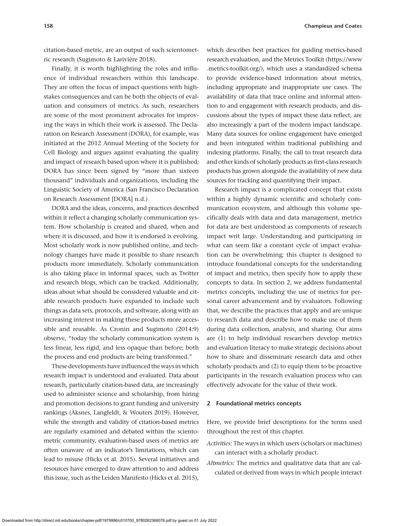citation-based metric, are an output of such scientometric research (Sugimoto & Larivière 2018).

Finally, it is worth highlighting the roles and influence of individual researchers within this landscape. They are often the focus of impact questions with highstakes consequences and can be both the objects of evaluation and consumers of metrics. As such, researchers are some of the most prominent advocates for improving the ways in which their work is assessed. The Declaration on Research Assessment (DORA), for example, was initiated at the 2012 Annual Meeting of the Society for Cell Biology and argues against evaluating the quality and impact of research based upon where it is published; DORA has since been signed by "more than sixteen thousand" individuals and organizations, including the Linguistic Society of America (San Francisco Declaration on Research Assessment [DORA] n.d.)

DORA and the ideas, concerns, and practices described within it reflect a changing scholarly communication system. How scholarship is created and shared, when and where it is discussed, and how it is endorsed is evolving. Most scholarly work is now published online, and technology changes have made it possible to share research products more immediately. Scholarly communication is also taking place in informal spaces, such as Twitter and research blogs, which can be tracked. Additionally, ideas about what should be considered valuable and citable research products have expanded to include such things as data sets, protocols, and software, along with an increasing interest in making these products more accessible and reusable. As Cronin and Sugimoto (2014:9) observe, "today the scholarly communication system is less linear, less rigid, and less opaque than before; both the process and end products are being transformed."

These developments have influenced the ways in which research impact is understood and evaluated. Data about research, particularly citation-based data, are increasingly used to administer science and scholarship, from hiring and promotion decisions to grant funding and university rankings (Aksnes, Langfeldt, & Wouters 2019). However, while the strength and validity of citation-based metrics are regularly examined and debated within the scientometric community, evaluation-based users of metrics are often unaware of an indicator's limitations, which can lead to misuse (Hicks et al. 2015). Several initiatives and resources have emerged to draw attention to and address this issue, such as the Leiden Manifesto (Hicks et al. 2015),

which describes best practices for guiding metrics-based research evaluation, and the Metrics Toolkit [\(https://www](https://www.metrics-toolkit.org/) [.metrics-toolkit.org/](https://www.metrics-toolkit.org/)), which uses a standardized schema to provide evidence-based information about metrics, including appropriate and inappropriate use cases. The availability of data that trace online and informal attention to and engagement with research products, and discussions about the types of impact these data reflect, are also increasingly a part of the modern impact landscape. Many data sources for online engagement have emerged and been integrated within traditional publishing and indexing platforms. Finally, the call to treat research data and other kinds of scholarly products as first-class research products has grown alongside the availability of new data sources for tracking and quantifying their impact.

Research impact is a complicated concept that exists within a highly dynamic scientific and scholarly communication ecosystem, and although this volume specifically deals with data and data management, metrics for data are best understood as components of research impact writ large. Understanding and participating in what can seem like a constant cycle of impact evaluation can be overwhelming; this chapter is designed to introduce foundational concepts for the understanding of impact and metrics, then specify how to apply these concepts to data. In section 2, we address fundamental metrics concepts, including the use of metrics for personal career advancement and by evaluators. Following that, we describe the practices that apply and are unique to research data and describe how to make use of them during data collection, analysis, and sharing. Our aims are (1) to help individual researchers develop metrics and evaluation literacy to make strategic decisions about how to share and disseminate research data and other scholarly products and (2) to equip them to be proactive participants in the research evaluation process who can effectively advocate for the value of their work.

#### **2 Foundational metrics concepts**

Here, we provide brief descriptions for the terms used throughout the rest of this chapter.

- *Activities*: The ways in which users (scholars or machines) can interact with a scholarly product.
- *Altmetrics*: The metrics and qualitative data that are calculated or derived from ways in which people interact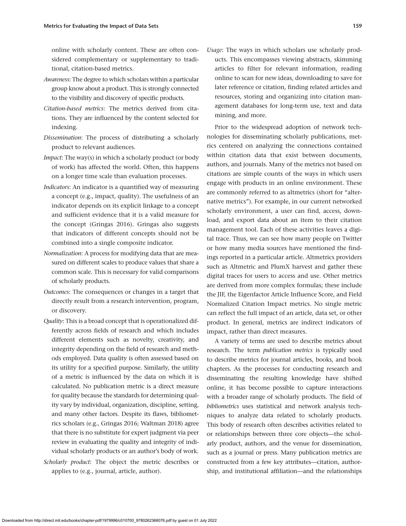online with scholarly content. These are often considered complementary or supplementary to traditional, citation-based metrics.

- *Awareness*: The degree to which scholars within a particular group know about a product. This is strongly connected to the visibility and discovery of specific products.
- *Citation-based metrics*: The metrics derived from citations. They are influenced by the content selected for indexing.
- *Dissemination*: The process of distributing a scholarly product to relevant audiences.
- *Impact*: The way(s) in which a scholarly product (or body of work) has affected the world. Often, this happens on a longer time scale than evaluation processes.
- *Indicators*: An indicator is a quantified way of measuring a concept (e.g., impact, quality). The usefulness of an indicator depends on its explicit linkage to a concept and sufficient evidence that it is a valid measure for the concept (Gringas 2016). Gringas also suggests that indicators of different concepts should not be combined into a single composite indicator.
- *Normalization*: A process for modifying data that are measured on different scales to produce values that share a common scale. This is necessary for valid comparisons of scholarly products.
- *Outcomes*: The consequences or changes in a target that directly result from a research intervention, program, or discovery.
- *Quality*: This is a broad concept that is operationalized differently across fields of research and which includes different elements such as novelty, creativity, and integrity depending on the field of research and methods employed. Data quality is often assessed based on its utility for a specified purpose. Similarly, the utility of a metric is influenced by the data on which it is calculated. No publication metric is a direct measure for quality because the standards for determining quality vary by individual, organization, discipline, setting, and many other factors. Despite its flaws, bibliometrics scholars (e.g., Gringas 2016; Waltman 2018) agree that there is no substitute for expert judgment via peer review in evaluating the quality and integrity of individual scholarly products or an author's body of work. *Scholarly product*: The object the metric describes or
- applies to (e.g., journal, article, author).

*Usage*: The ways in which scholars use scholarly products. This encompasses viewing abstracts, skimming articles to filter for relevant information, reading online to scan for new ideas, downloading to save for later reference or citation, finding related articles and resources, storing and organizing into citation management databases for long-term use, text and data mining, and more.

Prior to the widespread adoption of network technologies for disseminating scholarly publications, metrics centered on analyzing the connections contained within citation data that exist between documents, authors, and journals. Many of the metrics not based on citations are simple counts of the ways in which users engage with products in an online environment. These are commonly referred to as altmetrics (short for "alternative metrics"). For example, in our current networked scholarly environment, a user can find, access, download, and export data about an item to their citation management tool. Each of these activities leaves a digital trace. Thus, we can see how many people on Twitter or how many media sources have mentioned the findings reported in a particular article. Altmetrics providers such as Altmetric and PlumX harvest and gather these digital traces for users to access and use. Other metrics are derived from more complex formulas; these include the JIF, the Eigenfactor Article Influence Score, and Field Normalized Citation Impact metrics. No single metric can reflect the full impact of an article, data set, or other product. In general, metrics are indirect indicators of impact, rather than direct measures.

A variety of terms are used to describe metrics about research. The term *publication metrics* is typically used to describe metrics for journal articles, books, and book chapters. As the processes for conducting research and disseminating the resulting knowledge have shifted online, it has become possible to capture interactions with a broader range of scholarly products. The field of *bibliometrics* uses statistical and network analysis techniques to analyze data related to scholarly products. This body of research often describes activities related to or relationships between three core objects—the scholarly product, authors, and the venue for dissemination, such as a journal or press. Many publication metrics are constructed from a few key attributes—citation, authorship, and institutional affiliation—and the relationships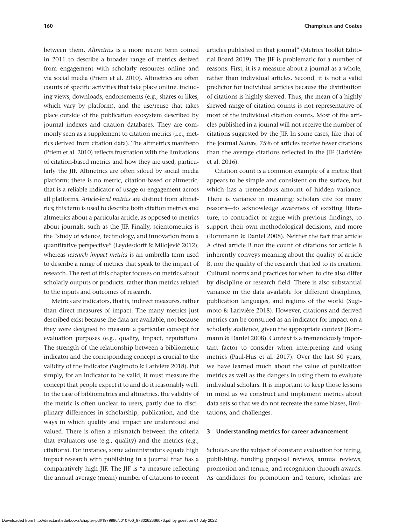**160 Champieux and Coates**

between them. *Altmetrics* is a more recent term coined in 2011 to describe a broader range of metrics derived from engagement with scholarly resources online and via social media (Priem et al. 2010). Altmetrics are often counts of specific activities that take place online, including views, downloads, endorsements (e.g., shares or likes, which vary by platform), and the use/reuse that takes place outside of the publication ecosystem described by journal indexes and citation databases. They are commonly seen as a supplement to citation metrics (i.e., metrics derived from citation data). The altmetrics manifesto (Priem et al. 2010) reflects frustration with the limitations of citation-based metrics and how they are used, particularly the JIF. Altmetrics are often siloed by social media platform; there is no metric, citation-based or altmetric, that is a reliable indicator of usage or engagement across all platforms. *Article-level metrics* are distinct from altmetrics; this term is used to describe both citation metrics and altmetrics about a particular article, as opposed to metrics about journals, such as the JIF. Finally, scientometrics is the "study of science, technology, and innovation from a quantitative perspective" (Leydesdorff & Milojević 2012), whereas *research impact metrics* is an umbrella term used to describe a range of metrics that speak to the impact of research. The rest of this chapter focuses on metrics about scholarly outputs or products, rather than metrics related to the inputs and outcomes of research.

Metrics are indicators, that is, indirect measures, rather than direct measures of impact. The many metrics just described exist because the data are available, not because they were designed to measure a particular concept for evaluation purposes (e.g., quality, impact, reputation). The strength of the relationship between a bibliometric indicator and the corresponding concept is crucial to the validity of the indicator (Sugimoto & Larivière 2018). Put simply, for an indicator to be valid, it must measure the concept that people expect it to and do it reasonably well. In the case of bibliometrics and altmetrics, the validity of the metric is often unclear to users, partly due to disciplinary differences in scholarship, publication, and the ways in which quality and impact are understood and valued. There is often a mismatch between the criteria that evaluators use (e.g., quality) and the metrics (e.g., citations). For instance, some administrators equate high impact research with publishing in a journal that has a comparatively high JIF. The JIF is "a measure reflecting the annual average (mean) number of citations to recent articles published in that journal" (Metrics Toolkit Editorial Board 2019). The JIF is problematic for a number of reasons. First, it is a measure about a journal as a whole, rather than individual articles. Second, it is not a valid predictor for individual articles because the distribution of citations is highly skewed. Thus, the mean of a highly skewed range of citation counts is not representative of most of the individual citation counts. Most of the articles published in a journal will not receive the number of citations suggested by the JIF. In some cases, like that of the journal *Nature*, 75% of articles receive fewer citations than the average citations reflected in the JIF (Larivière et al. 2016).

Citation count is a common example of a metric that appears to be simple and consistent on the surface, but which has a tremendous amount of hidden variance. There is variance in meaning; scholars cite for many reasons—to acknowledge awareness of existing literature, to contradict or argue with previous findings, to support their own methodological decisions, and more (Bornmann & Daniel 2008). Neither the fact that article A cited article B nor the count of citations for article B inherently conveys meaning about the quality of article B, nor the quality of the research that led to its creation. Cultural norms and practices for when to cite also differ by discipline or research field. There is also substantial variance in the data available for different disciplines, publication languages, and regions of the world (Sugimoto & Larivière 2018). However, citations and derived metrics can be construed as an indicator for impact on a scholarly audience, given the appropriate context (Bornmann & Daniel 2008). Context is a tremendously important factor to consider when interpreting and using metrics (Paul-Hus et al. 2017). Over the last 50 years, we have learned much about the value of publication metrics as well as the dangers in using them to evaluate individual scholars. It is important to keep those lessons in mind as we construct and implement metrics about data sets so that we do not recreate the same biases, limitations, and challenges.

#### **3 Understanding metrics for career advancement**

Scholars are the subject of constant evaluation for hiring, publishing, funding proposal reviews, annual reviews, promotion and tenure, and recognition through awards. As candidates for promotion and tenure, scholars are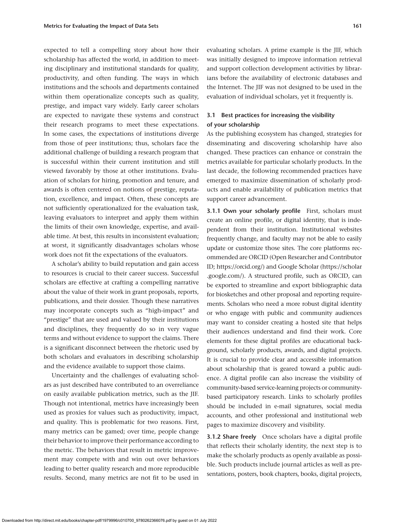expected to tell a compelling story about how their scholarship has affected the world, in addition to meeting disciplinary and institutional standards for quality, productivity, and often funding. The ways in which institutions and the schools and departments contained within them operationalize concepts such as quality, prestige, and impact vary widely. Early career scholars are expected to navigate these systems and construct their research programs to meet these expectations. In some cases, the expectations of institutions diverge from those of peer institutions; thus, scholars face the additional challenge of building a research program that is successful within their current institution and still viewed favorably by those at other institutions. Evaluation of scholars for hiring, promotion and tenure, and awards is often centered on notions of prestige, reputation, excellence, and impact. Often, these concepts are not sufficiently operationalized for the evaluation task, leaving evaluators to interpret and apply them within the limits of their own knowledge, expertise, and available time. At best, this results in inconsistent evaluation; at worst, it significantly disadvantages scholars whose work does not fit the expectations of the evaluators.

A scholar's ability to build reputation and gain access to resources is crucial to their career success. Successful scholars are effective at crafting a compelling narrative about the value of their work in grant proposals, reports, publications, and their dossier. Though these narratives may incorporate concepts such as "high-impact" and "prestige" that are used and valued by their institutions and disciplines, they frequently do so in very vague terms and without evidence to support the claims. There is a significant disconnect between the rhetoric used by both scholars and evaluators in describing scholarship and the evidence available to support those claims.

Uncertainty and the challenges of evaluating scholars as just described have contributed to an overreliance on easily available publication metrics, such as the JIF. Though not intentional, metrics have increasingly been used as proxies for values such as productivity, impact, and quality. This is problematic for two reasons. First, many metrics can be gamed; over time, people change their behavior to improve their performance according to the metric. The behaviors that result in metric improvement may compete with and win out over behaviors leading to better quality research and more reproducible results. Second, many metrics are not fit to be used in

evaluating scholars. A prime example is the JIF, which was initially designed to improve information retrieval and support collection development activities by librarians before the availability of electronic databases and the Internet. The JIF was not designed to be used in the evaluation of individual scholars, yet it frequently is.

# **3.1 Best practices for increasing the visibility of your scholarship**

As the publishing ecosystem has changed, strategies for disseminating and discovering scholarship have also changed. These practices can enhance or constrain the metrics available for particular scholarly products. In the last decade, the following recommended practices have emerged to maximize dissemination of scholarly products and enable availability of publication metrics that support career advancement.

**3.1.1 Own your scholarly profile** First, scholars must create an online profile, or digital identity, that is independent from their institution. Institutional websites frequently change, and faculty may not be able to easily update or customize those sites. The core platforms recommended are ORCID (Open Researcher and Contributor ID; <https://orcid.org/>) and Google Scholar [\(https://scholar](https://scholar.google.com/) [.google.com/](https://scholar.google.com/)). A structured profile, such as ORCID, can be exported to streamline and export bibliographic data for biosketches and other proposal and reporting requirements. Scholars who need a more robust digital identity or who engage with public and community audiences may want to consider creating a hosted site that helps their audiences understand and find their work. Core elements for these digital profiles are educational background, scholarly products, awards, and digital projects. It is crucial to provide clear and accessible information about scholarship that is geared toward a public audience. A digital profile can also increase the visibility of community-based service-learning projects or communitybased participatory research. Links to scholarly profiles should be included in e-mail signatures, social media accounts, and other professional and institutional web pages to maximize discovery and visibility.

**3.1.2 Share freely** Once scholars have a digital profile that reflects their scholarly identity, the next step is to make the scholarly products as openly available as possible. Such products include journal articles as well as presentations, posters, book chapters, books, digital projects,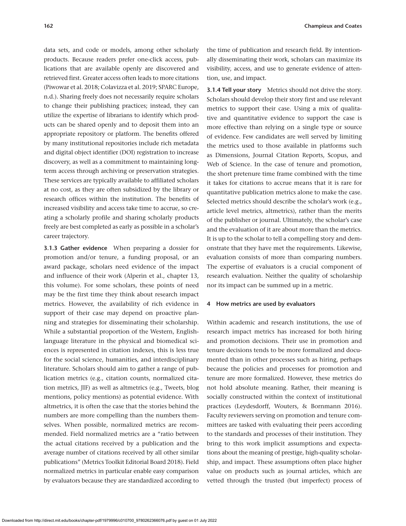**162 Champieux and Coates**

data sets, and code or models, among other scholarly products. Because readers prefer one-click access, publications that are available openly are discovered and retrieved first. Greater access often leads to more citations (Piwowar et al. 2018; Colavizza et al. 2019; SPARC Europe, n.d.). Sharing freely does not necessarily require scholars to change their publishing practices; instead, they can utilize the expertise of librarians to identify which products can be shared openly and to deposit them into an appropriate repository or platform. The benefits offered by many institutional repositories include rich metadata and digital object identifier (DOI) registration to increase discovery, as well as a commitment to maintaining longterm access through archiving or preservation strategies. These services are typically available to affiliated scholars at no cost, as they are often subsidized by the library or research offices within the institution. The benefits of increased visibility and access take time to accrue, so creating a scholarly profile and sharing scholarly products freely are best completed as early as possible in a scholar's career trajectory.

**3.1.3 Gather evidence** When preparing a dossier for promotion and/or tenure, a funding proposal, or an award package, scholars need evidence of the impact and influence of their work (Alperin et al., chapter 13, this volume). For some scholars, these points of need may be the first time they think about research impact metrics. However, the availability of rich evidence in support of their case may depend on proactive planning and strategies for disseminating their scholarship. While a substantial proportion of the Western, Englishlanguage literature in the physical and biomedical sciences is represented in citation indexes, this is less true for the social science, humanities, and interdisciplinary literature. Scholars should aim to gather a range of publication metrics (e.g., citation counts, normalized citation metrics, JIF) as well as altmetrics (e.g., Tweets, blog mentions, policy mentions) as potential evidence. With altmetrics, it is often the case that the stories behind the numbers are more compelling than the numbers themselves. When possible, normalized metrics are recommended. Field normalized metrics are a "ratio between the actual citations received by a publication and the average number of citations received by all other similar publications" (Metrics Toolkit Editorial Board 2018). Field normalized metrics in particular enable easy comparison by evaluators because they are standardized according to

the time of publication and research field. By intentionally disseminating their work, scholars can maximize its visibility, access, and use to generate evidence of attention, use, and impact.

**3.1.4 Tell your story** Metrics should not drive the story. Scholars should develop their story first and use relevant metrics to support their case. Using a mix of qualitative and quantitative evidence to support the case is more effective than relying on a single type or source of evidence. Few candidates are well served by limiting the metrics used to those available in platforms such as Dimensions, Journal Citation Reports, Scopus, and Web of Science. In the case of tenure and promotion, the short pretenure time frame combined with the time it takes for citations to accrue means that it is rare for quantitative publication metrics alone to make the case. Selected metrics should describe the scholar's work (e.g., article level metrics, altmetrics), rather than the merits of the publisher or journal. Ultimately, the scholar's case and the evaluation of it are about more than the metrics. It is up to the scholar to tell a compelling story and demonstrate that they have met the requirements. Likewise, evaluation consists of more than comparing numbers. The expertise of evaluators is a crucial component of research evaluation. Neither the quality of scholarship nor its impact can be summed up in a metric.

#### **4 How metrics are used by evaluators**

Within academic and research institutions, the use of research impact metrics has increased for both hiring and promotion decisions. Their use in promotion and tenure decisions tends to be more formalized and documented than in other processes such as hiring, perhaps because the policies and processes for promotion and tenure are more formalized. However, these metrics do not hold absolute meaning. Rather, their meaning is socially constructed within the context of institutional practices (Leydesdorff, Wouters, & Bornmann 2016). Faculty reviewers serving on promotion and tenure committees are tasked with evaluating their peers according to the standards and processes of their institution. They bring to this work implicit assumptions and expectations about the meaning of prestige, high-quality scholarship, and impact. These assumptions often place higher value on products such as journal articles, which are vetted through the trusted (but imperfect) process of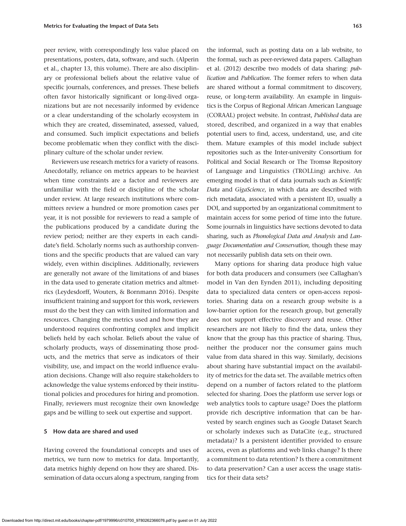peer review, with correspondingly less value placed on presentations, posters, data, software, and such. (Alperin et al., chapter 13, this volume). There are also disciplinary or professional beliefs about the relative value of specific journals, conferences, and presses. These beliefs often favor historically significant or long-lived organizations but are not necessarily informed by evidence or a clear understanding of the scholarly ecosystem in which they are created, disseminated, assessed, valued, and consumed. Such implicit expectations and beliefs become problematic when they conflict with the disciplinary culture of the scholar under review.

Reviewers use research metrics for a variety of reasons. Anecdotally, reliance on metrics appears to be heaviest when time constraints are a factor and reviewers are unfamiliar with the field or discipline of the scholar under review. At large research institutions where committees review a hundred or more promotion cases per year, it is not possible for reviewers to read a sample of the publications produced by a candidate during the review period; neither are they experts in each candidate's field. Scholarly norms such as authorship conventions and the specific products that are valued can vary widely, even within disciplines. Additionally, reviewers are generally not aware of the limitations of and biases in the data used to generate citation metrics and altmetrics (Leydesdorff, Wouters, & Bornmann 2016). Despite insufficient training and support for this work, reviewers must do the best they can with limited information and resources. Changing the metrics used and how they are understood requires confronting complex and implicit beliefs held by each scholar. Beliefs about the value of scholarly products, ways of disseminating those products, and the metrics that serve as indicators of their visibility, use, and impact on the world influence evaluation decisions. Change will also require stakeholders to acknowledge the value systems enforced by their institutional policies and procedures for hiring and promotion. Finally, reviewers must recognize their own knowledge gaps and be willing to seek out expertise and support.

#### **5 How data are shared and used**

Having covered the foundational concepts and uses of metrics, we turn now to metrics for data. Importantly, data metrics highly depend on how they are shared. Dissemination of data occurs along a spectrum, ranging from

the informal, such as posting data on a lab website, to the formal, such as peer-reviewed data papers. Callaghan et al. (2012) describe two models of data sharing: *publication* and *Publication*. The former refers to when data are shared without a formal commitment to discovery, reuse, or long-term availability. An example in linguistics is the Corpus of Regional African American Language (CORAAL) project website. In contrast, *Published* data are stored, described, and organized in a way that enables potential users to find, access, understand, use, and cite them. Mature examples of this model include subject repositories such as the Inter-university Consortium for Political and Social Research or The Tromsø Repository of Language and Linguistics (TROLLing) archive. An emerging model is that of data journals such as *Scientific Data* and *GigaScience*, in which data are described with rich metadata, associated with a persistent ID, usually a DOI, and supported by an organizational commitment to maintain access for some period of time into the future. Some journals in linguistics have sections devoted to data sharing, such as *Phonological Data and Analysis* and *Language Documentation and Conservation,* though these may not necessarily publish data sets on their own.

Many options for sharing data produce high value for both data producers and consumers (see Callaghan's model in Van den Eynden 2011), including depositing data to specialized data centers or open-access repositories. Sharing data on a research group website is a low-barrier option for the research group, but generally does not support effective discovery and reuse. Other researchers are not likely to find the data, unless they know that the group has this practice of sharing. Thus, neither the producer nor the consumer gains much value from data shared in this way. Similarly, decisions about sharing have substantial impact on the availability of metrics for the data set. The available metrics often depend on a number of factors related to the platform selected for sharing. Does the platform use server logs or web analytics tools to capture usage? Does the platform provide rich descriptive information that can be harvested by search engines such as Google Dataset Search or scholarly indexes such as DataCite (e.g., structured metadata)? Is a persistent identifier provided to ensure access, even as platforms and web links change? Is there a commitment to data retention? Is there a commitment to data preservation? Can a user access the usage statistics for their data sets?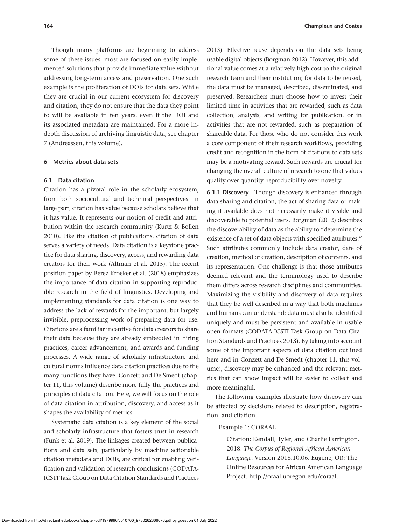Though many platforms are beginning to address some of these issues, most are focused on easily implemented solutions that provide immediate value without addressing long-term access and preservation. One such example is the proliferation of DOIs for data sets. While they are crucial in our current ecosystem for discovery and citation, they do not ensure that the data they point to will be available in ten years, even if the DOI and its associated metadata are maintained. For a more indepth discussion of archiving linguistic data, see chapter 7 (Andreassen, this volume).

#### **6 Metrics about data sets**

#### **6.1 Data citation**

Citation has a pivotal role in the scholarly ecosystem, from both sociocultural and technical perspectives. In large part, citation has value because scholars believe that it has value. It represents our notion of credit and attribution within the research community (Kurtz & Bollen 2010). Like the citation of publications, citation of data serves a variety of needs. Data citation is a keystone practice for data sharing, discovery, access, and rewarding data creators for their work (Altman et al. 2015). The recent position paper by Berez-Kroeker et al. (2018) emphasizes the importance of data citation in supporting reproducible research in the field of linguistics. Developing and implementing standards for data citation is one way to address the lack of rewards for the important, but largely invisible, preprocessing work of preparing data for use. Citations are a familiar incentive for data creators to share their data because they are already embedded in hiring practices, career advancement, and awards and funding processes. A wide range of scholarly infrastructure and cultural norms influence data citation practices due to the many functions they have. Conzett and De Smedt (chapter 11, this volume) describe more fully the practices and principles of data citation. Here, we will focus on the role of data citation in attribution, discovery, and access as it shapes the availability of metrics.

Systematic data citation is a key element of the social and scholarly infrastructure that fosters trust in research (Funk et al. 2019). The linkages created between publications and data sets, particularly by machine actionable citation metadata and DOIs, are critical for enabling verification and validation of research conclusions (CODATA-ICSTI Task Group on Data Citation Standards and Practices 2013). Effective reuse depends on the data sets being usable digital objects (Borgman 2012). However, this additional value comes at a relatively high cost to the original research team and their institution; for data to be reused, the data must be managed, described, disseminated, and preserved. Researchers must choose how to invest their limited time in activities that are rewarded, such as data collection, analysis, and writing for publication, or in activities that are not rewarded, such as preparation of shareable data. For those who do not consider this work a core component of their research workflows, providing credit and recognition in the form of citations to data sets may be a motivating reward. Such rewards are crucial for changing the overall culture of research to one that values quality over quantity, reproducibility over novelty.

**6.1.1 Discovery** Though discovery is enhanced through data sharing and citation, the act of sharing data or making it available does not necessarily make it visible and discoverable to potential users. Borgman (2012) describes the discoverability of data as the ability to "determine the existence of a set of data objects with specified attributes." Such attributes commonly include data creator, date of creation, method of creation, description of contents, and its representation. One challenge is that those attributes deemed relevant and the terminology used to describe them differs across research disciplines and communities. Maximizing the visibility and discovery of data requires that they be well described in a way that both machines and humans can understand; data must also be identified uniquely and must be persistent and available in usable open formats (CODATA-ICSTI Task Group on Data Citation Standards and Practices 2013). By taking into account some of the important aspects of data citation outlined here and in Conzett and De Smedt (chapter 11, this volume), discovery may be enhanced and the relevant metrics that can show impact will be easier to collect and more meaningful.

The following examples illustrate how discovery can be affected by decisions related to description, registration, and citation.

#### Example 1: CORAAL

Citation: Kendall, Tyler, and Charlie Farrington. 2018. *The Corpus of Regional African American Language*. Version 2018.10.06. Eugene, OR: The Online Resources for African American Language Project. [http://oraal.uoregon.edu/coraal.](http://oraal.uoregon.edu/coraal)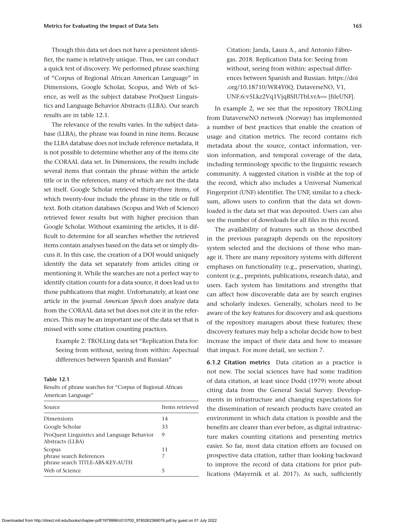Though this data set does not have a persistent identifier, the name is relatively unique. Thus, we can conduct a quick test of discovery. We performed phrase searching of "Corpus of Regional African American Language" in Dimensions, Google Scholar, Scopus, and Web of Science, as well as the subject database ProQuest Linguistics and Language Behavior Abstracts (LLBA). Our search results are in table 12.1.

The relevance of the results varies. In the subject database (LLBA), the phrase was found in nine items. Because the LLBA database does not include reference metadata, it is not possible to determine whether any of the items cite the CORAAL data set. In Dimensions, the results include several items that contain the phrase within the article title or in the references, many of which are not the data set itself. Google Scholar retrieved thirty-three items, of which twenty-four include the phrase in the title or full text. Both citation databases (Scopus and Web of Science) retrieved fewer results but with higher precision than Google Scholar. Without examining the articles, it is difficult to determine for all searches whether the retrieved items contain analyses based on the data set or simply discuss it. In this case, the creation of a DOI would uniquely identify the data set separately from articles citing or mentioning it. While the searches are not a perfect way to identify citation counts for a data source, it does lead us to those publications that might. Unfortunately, at least one article in the journal *American Speech* does analyze data from the CORAAL data set but does not cite it in the references. This may be an important use of the data set that is missed with some citation counting practices.

Example 2: TROLLing data set "Replication Data for: Seeing from without, seeing from within: Aspectual differences between Spanish and Russian"

#### **Table 12.1**

Results of phrase searches for "Corpus of Regional African American Language"

| Source                                                                 | Items retrieved |
|------------------------------------------------------------------------|-----------------|
| Dimensions                                                             | 14              |
| Google Scholar                                                         | 33              |
| ProQuest Linguistics and Language Behavior<br>Abstracts (LLBA)         | 9               |
| Scopus<br>phrase search References<br>phrase search TITLE-ABS-KEY-AUTH | 11<br>7         |
| Web of Science                                                         | 5               |

Citation: Janda, Laura A., and Antonio Fábregas. 2018. Replication Data for: Seeing from without, seeing from within: aspectual differences between Spanish and Russian. [https://doi](https://doi.org/10.18710/WR4Y0Q) [.org/10.18710/WR4Y0Q](https://doi.org/10.18710/WR4Y0Q). DataverseNO, V1, UNF:6:v5Lkz2Vq1VjqBSIUTbLvrA== [fileUNF].

In example 2, we see that the repository TROLLing from DataverseNO network (Norway) has implemented a number of best practices that enable the creation of usage and citation metrics. The record contains rich metadata about the source, contact information, version information, and temporal coverage of the data, including terminology specific to the linguistic research community. A suggested citation is visible at the top of the record, which also includes a Universal Numerical Fingerprint (UNF) identifier. The UNF, similar to a checksum, allows users to confirm that the data set downloaded is the data set that was deposited. Users can also see the number of downloads for all files in this record.

The availability of features such as those described in the previous paragraph depends on the repository system selected and the decisions of those who manage it. There are many repository systems with different emphases on functionality (e.g., preservation, sharing), content (e.g., preprints, publications, research data), and users. Each system has limitations and strengths that can affect how discoverable data are by search engines and scholarly indexes. Generally, scholars need to be aware of the key features for discovery and ask questions of the repository managers about these features; these discovery features may help a scholar decide how to best increase the impact of their data and how to measure that impact. For more detail, see section 7.

**6.1.2 Citation metrics** Data citation as a practice is not new. The social sciences have had some tradition of data citation, at least since Dodd (1979) wrote about citing data from the General Social Survey. Developments in infrastructure and changing expectations for the dissemination of research products have created an environment in which data citation is possible and the benefits are clearer than ever before, as digital infrastructure makes counting citations and presenting metrics easier. So far, most data citation efforts are focused on prospective data citation, rather than looking backward to improve the record of data citations for prior publications (Mayernik et al. 2017). As such, sufficiently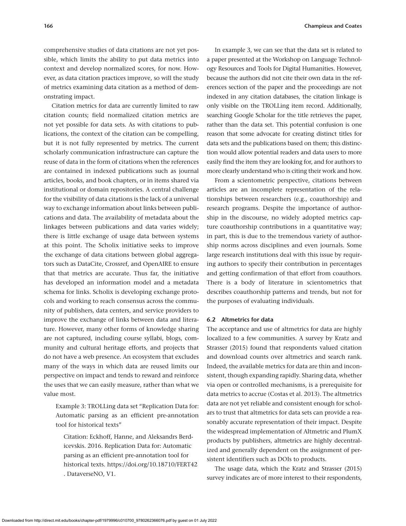comprehensive studies of data citations are not yet possible, which limits the ability to put data metrics into context and develop normalized scores, for now. However, as data citation practices improve, so will the study of metrics examining data citation as a method of demonstrating impact.

Citation metrics for data are currently limited to raw citation counts; field normalized citation metrics are not yet possible for data sets. As with citations to publications, the context of the citation can be compelling, but it is not fully represented by metrics. The current scholarly communication infrastructure can capture the reuse of data in the form of citations when the references are contained in indexed publications such as journal articles, books, and book chapters, or in items shared via institutional or domain repositories. A central challenge for the visibility of data citations is the lack of a universal way to exchange information about links between publications and data. The availability of metadata about the linkages between publications and data varies widely; there is little exchange of usage data between systems at this point. The Scholix initiative seeks to improve the exchange of data citations between global aggregators such as DataCite, Crossref, and OpenAIRE to ensure that that metrics are accurate. Thus far, the initiative has developed an information model and a metadata schema for links. Scholix is developing exchange protocols and working to reach consensus across the community of publishers, data centers, and service providers to improve the exchange of links between data and literature. However, many other forms of knowledge sharing are not captured, including course syllabi, blogs, community and cultural heritage efforts, and projects that do not have a web presence. An ecosystem that excludes many of the ways in which data are reused limits our perspective on impact and tends to reward and reinforce the uses that we can easily measure, rather than what we value most.

Example 3: TROLLing data set "Replication Data for: Automatic parsing as an efficient pre-annotation tool for historical texts"

Citation: Eckhoff, Hanne, and Aleksandrs Berdicevskis. 2016. Replication Data for: Automatic parsing as an efficient pre-annotation tool for historical texts. <https://doi.org/10.18710/FERT42> . DataverseNO, V1.

In example 3, we can see that the data set is related to a paper presented at the Workshop on Language Technology Resources and Tools for Digital Humanities. However, because the authors did not cite their own data in the references section of the paper and the proceedings are not indexed in any citation databases, the citation linkage is only visible on the TROLLing item record. Additionally, searching Google Scholar for the title retrieves the paper, rather than the data set. This potential confusion is one reason that some advocate for creating distinct titles for data sets and the publications based on them; this distinction would allow potential readers and data users to more easily find the item they are looking for, and for authors to more clearly understand who is citing their work and how.

From a scientometric perspective, citations between articles are an incomplete representation of the relationships between researchers (e.g., coauthorship) and research programs. Despite the importance of authorship in the discourse, no widely adopted metrics capture coauthorship contributions in a quantitative way; in part, this is due to the tremendous variety of authorship norms across disciplines and even journals. Some large research institutions deal with this issue by requiring authors to specify their contribution in percentages and getting confirmation of that effort from coauthors. There is a body of literature in scientometrics that describes coauthorship patterns and trends, but not for the purposes of evaluating individuals.

#### **6.2 Altmetrics for data**

The acceptance and use of altmetrics for data are highly localized to a few communities. A survey by Kratz and Strasser (2015) found that respondents valued citation and download counts over altmetrics and search rank. Indeed, the available metrics for data are thin and inconsistent, though expanding rapidly. Sharing data, whether via open or controlled mechanisms, is a prerequisite for data metrics to accrue (Costas et al. 2013). The altmetrics data are not yet reliable and consistent enough for scholars to trust that altmetrics for data sets can provide a reasonably accurate representation of their impact. Despite the widespread implementation of Altmetric and PlumX products by publishers, altmetrics are highly decentralized and generally dependent on the assignment of persistent identifiers such as DOIs to products.

The usage data, which the Kratz and Strasser (2015) survey indicates are of more interest to their respondents,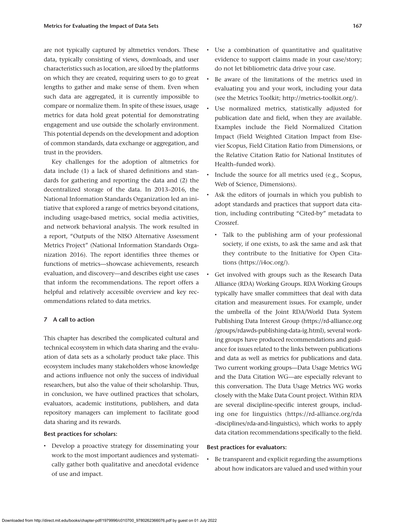are not typically captured by altmetrics vendors. These data, typically consisting of views, downloads, and user characteristics such as location, are siloed by the platforms on which they are created, requiring users to go to great lengths to gather and make sense of them. Even when such data are aggregated, it is currently impossible to compare or normalize them. In spite of these issues, usage metrics for data hold great potential for demonstrating engagement and use outside the scholarly environment. This potential depends on the development and adoption of common standards, data exchange or aggregation, and trust in the providers.

Key challenges for the adoption of altmetrics for data include (1) a lack of shared definitions and standards for gathering and reporting the data and (2) the decentralized storage of the data. In 2013–2016, the National Information Standards Organization led an initiative that explored a range of metrics beyond citations, including usage-based metrics, social media activities, and network behavioral analysis. The work resulted in a report, "Outputs of the NISO Alternative Assessment Metrics Project" (National Information Standards Organization 2016). The report identifies three themes or functions of metrics—showcase achievements, research evaluation, and discovery—and describes eight use cases that inform the recommendations. The report offers a helpful and relatively accessible overview and key recommendations related to data metrics.

### **7 A call to action**

This chapter has described the complicated cultural and technical ecosystem in which data sharing and the evaluation of data sets as a scholarly product take place. This ecosystem includes many stakeholders whose knowledge and actions influence not only the success of individual researchers, but also the value of their scholarship. Thus, in conclusion, we have outlined practices that scholars, evaluators, academic institutions, publishers, and data repository managers can implement to facilitate good data sharing and its rewards.

#### **Best practices for scholars:**

• Develop a proactive strategy for disseminating your work to the most important audiences and systematically gather both qualitative and anecdotal evidence of use and impact.

- Use a combination of quantitative and qualitative evidence to support claims made in your case/story; do not let bibliometric data drive your case.
- Be aware of the limitations of the metrics used in evaluating you and your work, including your data (see the Metrics Toolkit;<http://metrics-toolkit.org/>).
- Use normalized metrics, statistically adjusted for publication date and field, when they are available. Examples include the Field Normalized Citation Impact (Field Weighted Citation Impact from Elsevier Scopus, Field Citation Ratio from Dimensions, or the Relative Citation Ratio for National Institutes of Health–funded work).
- Include the source for all metrics used (e.g., Scopus, Web of Science, Dimensions).
- Ask the editors of journals in which you publish to adopt standards and practices that support data citation, including contributing "Cited-by" metadata to Crossref.
	- Talk to the publishing arm of your professional society, if one exists, to ask the same and ask that they contribute to the Initiative for Open Citations (<https://i4oc.org/>).
- Get involved with groups such as the Research Data Alliance (RDA) Working Groups. RDA Working Groups typically have smaller committees that deal with data citation and measurement issues. For example, under the umbrella of the Joint RDA/World Data System Publishing Data Interest Group ([https://rd-alliance.org](https://rd-alliance.org/groups/rdawds-publishing-data-ig.html) [/groups/rdawds-publishing-data-ig.html\)](https://rd-alliance.org/groups/rdawds-publishing-data-ig.html), several working groups have produced recommendations and guidance for issues related to the links between publications and data as well as metrics for publications and data. Two current working groups—Data Usage Metrics WG and the Data Citation WG—are especially relevant to this conversation. The Data Usage Metrics WG works closely with the Make Data Count project. Within RDA are several discipline-specific interest groups, including one for linguistics ([https://rd-alliance.org/rda](https://rd-alliance.org/rda-disciplines/rda-and-linguistics) [-disciplines/rda-and-linguistics\)](https://rd-alliance.org/rda-disciplines/rda-and-linguistics), which works to apply data citation recommendations specifically to the field.

#### **Best practices for evaluators:**

• Be transparent and explicit regarding the assumptions about how indicators are valued and used within your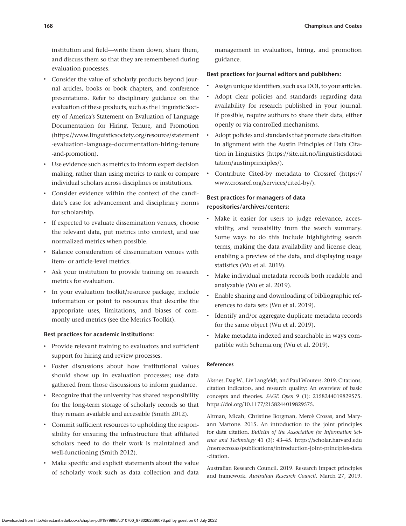institution and field—write them down, share them, and discuss them so that they are remembered during evaluation processes.

- Consider the value of scholarly products beyond journal articles, books or book chapters, and conference presentations. Refer to disciplinary guidance on the evaluation of these products, such as the Linguistic Society of America's Statement on Evaluation of Language Documentation for Hiring, Tenure, and Promotion [\(https://www.linguisticsociety.org/resource/statement](https://www.linguisticsociety.org/resource/statement-evaluation-language-documentation-hiring-tenure-and-promotion) [-evaluation-language-documentation-hiring-tenure](https://www.linguisticsociety.org/resource/statement-evaluation-language-documentation-hiring-tenure-and-promotion) [-and-promotion\)](https://www.linguisticsociety.org/resource/statement-evaluation-language-documentation-hiring-tenure-and-promotion).
- Use evidence such as metrics to inform expert decision making, rather than using metrics to rank or compare individual scholars across disciplines or institutions.
- Consider evidence within the context of the candidate's case for advancement and disciplinary norms for scholarship.
- If expected to evaluate dissemination venues, choose the relevant data, put metrics into context, and use normalized metrics when possible.
- Balance consideration of dissemination venues with item- or article-level metrics.
- Ask your institution to provide training on research metrics for evaluation.
- In your evaluation toolkit/resource package, include information or point to resources that describe the appropriate uses, limitations, and biases of commonly used metrics (see the Metrics Toolkit).

#### **Best practices for academic institutions:**

- Provide relevant training to evaluators and sufficient support for hiring and review processes.
- Foster discussions about how institutional values should show up in evaluation processes; use data gathered from those discussions to inform guidance.
- Recognize that the university has shared responsibility for the long-term storage of scholarly records so that they remain available and accessible (Smith 2012).
- Commit sufficient resources to upholding the responsibility for ensuring the infrastructure that affiliated scholars need to do their work is maintained and well-functioning (Smith 2012).
- Make specific and explicit statements about the value of scholarly work such as data collection and data

management in evaluation, hiring, and promotion guidance.

#### **Best practices for journal editors and publishers:**

- Assign unique identifiers, such as a DOI, to your articles.
- Adopt clear policies and standards regarding data availability for research published in your journal. If possible, require authors to share their data, either openly or via controlled mechanisms.
- Adopt policies and standards that promote data citation in alignment with the Austin Principles of Data Citation in Linguistics ([https://site.uit.no/linguisticsdataci](https://site.uit.no/linguisticsdatacitation/austinprinciples/) [tation/austinprinciples/\)](https://site.uit.no/linguisticsdatacitation/austinprinciples/).
- Contribute Cited-by metadata to Crossref ([https://](https://www.crossref.org/services/cited-by/) [www.crossref.org/services/cited-by/\)](https://www.crossref.org/services/cited-by/).

# **Best practices for managers of data repositories/archives/centers:**

- Make it easier for users to judge relevance, accessibility, and reusability from the search summary. Some ways to do this include highlighting search terms, making the data availability and license clear, enabling a preview of the data, and displaying usage statistics (Wu et al. 2019).
- Make individual metadata records both readable and analyzable (Wu et al. 2019).
- Enable sharing and downloading of bibliographic references to data sets (Wu et al. 2019).
- Identify and/or aggregate duplicate metadata records for the same object (Wu et al. 2019).
- Make metadata indexed and searchable in ways compatible with Schema.org (Wu et al. 2019).

#### **References**

Aksnes, Dag W., Liv Langfeldt, and Paul Wouters. 2019. Citations, citation indicators, and research quality: An overview of basic concepts and theories. *SAGE Open* 9 (1): 2158244019829575. [https://doi.org/10.1177/2158244019829575.](https://doi.org/10.1177/2158244019829575)

Altman, Micah, Christine Borgman, Mercè Crosas, and Maryann Martone. 2015. An introduction to the joint principles for data citation. *Bulletin of the Association for Information Science and Technology* 41 (3): 43–45. [https://scholar.harvard.edu](https://scholar.harvard.edu/mercecrosas/publications/introduction-joint-principles-data-citation) [/mercecrosas/publications/introduction-joint-principles-data](https://scholar.harvard.edu/mercecrosas/publications/introduction-joint-principles-data-citation) [-citation](https://scholar.harvard.edu/mercecrosas/publications/introduction-joint-principles-data-citation).

Australian Research Council. 2019. Research impact principles and framework. *Australian Research Council*. March 27, 2019.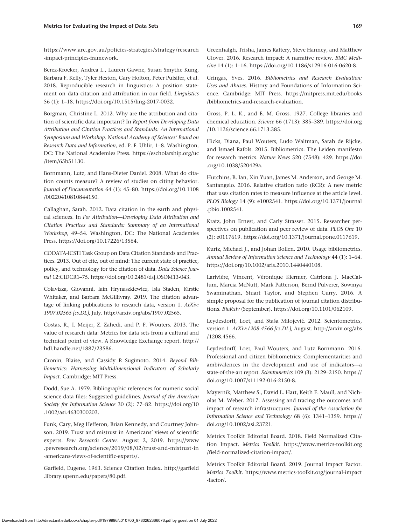[https://www.arc.gov.au/policies-strategies/strategy/research](https://www.arc.gov.au/policies-strategies/strategy/research-impact-principles-framework) [-impact-principles-framework.](https://www.arc.gov.au/policies-strategies/strategy/research-impact-principles-framework)

Berez-Kroeker, Andrea L., Lauren Gawne, Susan Smythe Kung, Barbara F. Kelly, Tyler Heston, Gary Holton, Peter Pulsifer, et al. 2018. Reproducible research in linguistics: A position statement on data citation and attribution in our field. *Linguistics* 56 (1): 1–18. [https://doi.org/10.1515/ling-2017-0032.](https://doi.org/10.1515/ling-2017-0032)

Borgman, Christine L. 2012. Why are the attribution and citation of scientific data important? In *Report from Developing Data Attribution and Citation Practices and Standards: An International Symposium and Workshop. National Academy of Sciences' Board on Research Data and Information*, ed. P. F. Uhlir, 1–8. Washington, DC: The National Academies Press. [https://escholarship.org/uc](https://escholarship.org/uc/item/65b51130) [/item/65b51130.](https://escholarship.org/uc/item/65b51130)

Bornmann, Lutz, and Hans-Dieter Daniel. 2008. What do citation counts measure? A review of studies on citing behavior. *Journal of Documentation* 64 (1): 45–80. [https://doi.org/10.1108](https://doi.org/10.1108/00220410810844150) [/00220410810844150.](https://doi.org/10.1108/00220410810844150)

Callaghan, Sarah. 2012. Data citation in the earth and physical sciences. In *For Attribution—Developing Data Attribution and Citation Practices and Standards: Summary of an International Workshop*, 49–54. Washington, DC: The National Academies Press. <https://doi.org/10.17226/13564>.

CODATA-ICSTI Task Group on Data Citation Standards and Practices. 2013. Out of cite, out of mind: The current state of practice, policy, and technology for the citation of data. *Data Science Journal* 12:CIDCR1–75.<https://doi.org/10.2481/dsj.OSOM13-043>.

Colavizza, Giovanni, Iain Hrynaszkiewicz, Isla Staden, Kirstie Whitaker, and Barbara McGillivray. 2019. The citation advantage of linking publications to research data, version 1. *ArXiv: 1907.02565 [cs.DL]*, July. <http://arxiv.org/abs/1907.02565>.

Costas, R., I. Meijer, Z. Zahedi, and P. F. Wouters. 2013. The value of research data: Metrics for data sets from a cultural and technical point of view. A Knowledge Exchange report. [http://](http://hdl.handle.net/1887/23586) [hdl.handle.net/1887/23586](http://hdl.handle.net/1887/23586).

Cronin, Blaise, and Cassidy R Sugimoto. 2014. *Beyond Bibliometrics: Harnessing Multidimensional Indicators of Scholarly Impact*. Cambridge: MIT Press.

Dodd, Sue A. 1979. Bibliographic references for numeric social science data files: Suggested guidelines. *Journal of the American Society for Information Science* 30 (2): 77–82. [https://doi.org/10](https://doi.org/10.1002/asi.4630300203) [.1002/asi.4630300203](https://doi.org/10.1002/asi.4630300203).

Funk, Cary, Meg Hefferon, Brian Kennedy, and Courtney Johnson. 2019. Trust and mistrust in Americans' views of scientific experts. *Pew Research Center*. August 2, 2019. [https://www](https://www.pewresearch.org/science/2019/08/02/trust-and-mistrust-in-americans-views-of-scientific-experts/) [.pewresearch.org/science/2019/08/02/trust-and-mistrust-in](https://www.pewresearch.org/science/2019/08/02/trust-and-mistrust-in-americans-views-of-scientific-experts/) [-americans-views-of-scientific-experts/.](https://www.pewresearch.org/science/2019/08/02/trust-and-mistrust-in-americans-views-of-scientific-experts/)

Garfield, Eugene. 1963. Science Citation Index. [http://garfield](http://garfield.library.upenn.edu/papers/80.pdf) [.library.upenn.edu/papers/80.pdf.](http://garfield.library.upenn.edu/papers/80.pdf)

Greenhalgh, Trisha, James Raftery, Steve Hanney, and Matthew Glover. 2016. Research impact: A narrative review. *BMC Medicine* 14 (1): 1–16.<https://doi.org/10.1186/s12916-016-0620-8>.

Gringas, Yves. 2016. *Bibliometrics and Research Evaluation: Uses and Abuses*. History and Foundations of Information Science. Cambridge: MIT Press. [https://mitpress.mit.edu/books](https://mitpress.mit.edu/books/bibliometrics-and-research-evaluation) [/bibliometrics-and-research-evaluation](https://mitpress.mit.edu/books/bibliometrics-and-research-evaluation).

Gross, P. L. K., and E. M. Gross. 1927. College libraries and chemical education. *Science* 66 (1713): 385–389. [https://doi.org](https://doi.org/10.1126/science.66.1713.385) [/10.1126/science.66.1713.385.](https://doi.org/10.1126/science.66.1713.385)

Hicks, Diana, Paul Wouters, Ludo Waltman, Sarah de Rijcke, and Ismael Rafols. 2015. Bibliometrics: The Leiden manifesto for research metrics. *Nature News* 520 (7548): 429. [https://doi](https://doi.org/10.1038/520429a) [.org/10.1038/520429a.](https://doi.org/10.1038/520429a)

Hutchins, B. Ian, Xin Yuan, James M. Anderson, and George M. Santangelo. 2016. Relative citation ratio (RCR): A new metric that uses citation rates to measure influence at the article level. *PLOS Biology* 14 (9): e1002541. [https://doi.org/10.1371/journal](https://doi.org/10.1371/journal.pbio.1002541) [.pbio.1002541](https://doi.org/10.1371/journal.pbio.1002541).

Kratz, John Ernest, and Carly Strasser. 2015. Researcher perspectives on publication and peer review of data. *PLOS One* 10 (2): e0117619. [https://doi.org/10.1371/journal.pone.0117619.](https://doi.org/10.1371/journal.pone.0117619)

Kurtz, Michael J., and Johan Bollen. 2010. Usage bibliometrics. *Annual Review of Information Science and Technology* 44 (1): 1–64. <https://doi.org/10.1002/aris.2010.1440440108>.

Larivière, Vincent, Véronique Kiermer, Catriona J. MacCallum, Marcia McNutt, Mark Patterson, Bernd Pulverer, Sowmya Swaminathan, Stuart Taylor, and Stephen Curry. 2016. A simple proposal for the publication of journal citation distributions. *BioRxiv* (September). <https://doi.org/10.1101/062109>.

Leydesdorff, Loet, and Staša Milojević. 2012. Scientometrics, version 1. *ArXiv:1208.4566 [cs.DL]*, August. [http://arxiv.org/abs](http://arxiv.org/abs/1208.4566) [/1208.4566.](http://arxiv.org/abs/1208.4566)

Leydesdorff, Loet, Paul Wouters, and Lutz Bornmann. 2016. Professional and citizen bibliometrics: Complementarities and ambivalences in the development and use of indicators—a state-of-the-art report. *Scientometrics* 109 (3): 2129–2150. [https://](https://doi.org/10.1007/s11192-016-2150-8) [doi.org/10.1007/s11192-016-2150-8.](https://doi.org/10.1007/s11192-016-2150-8)

Mayernik, Matthew S., David L. Hart, Keith E. Maull, and Nicholas M. Weber. 2017. Assessing and tracing the outcomes and impact of research infrastructures. *Journal of the Association for Information Science and Technology* 68 (6): 1341–1359. [https://](https://doi.org/10.1002/asi.23721) [doi.org/10.1002/asi.23721](https://doi.org/10.1002/asi.23721).

Metrics Toolkit Editorial Board. 2018. Field Normalized Citation Impact. *Metrics Toolkit*. [https://www.metrics-toolkit.org](https://www.metrics-toolkit.org/field-normalized-citation-impact/) [/field-normalized-citation-impact/](https://www.metrics-toolkit.org/field-normalized-citation-impact/).

Metrics Toolkit Editorial Board. 2019. Journal Impact Factor. *Metrics Toolkit*. [https://www.metrics-toolkit.org/journal-impact](https://www.metrics-toolkit.org/journal-impact-factor/) [-factor/](https://www.metrics-toolkit.org/journal-impact-factor/).